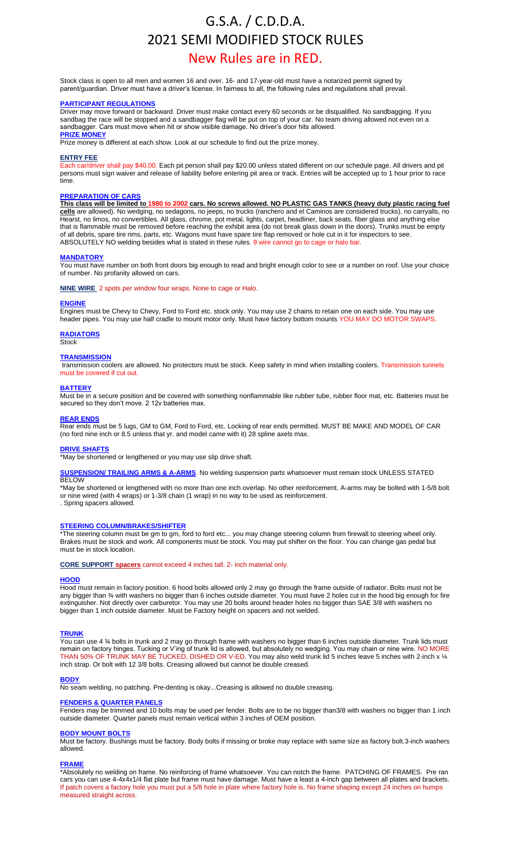# G.S.A. / C.D.D.A. 2021 SEMI MODIFIED STOCK RULES

## New Rules are in RED.

Stock class is open to all men and women 16 and over. 16- and 17-year-old must have a notarized permit signed by parent/guardian. Driver must have a driver's license. In fairness to all, the following rules and regulations shall prevail.

#### **PARTICIPANT REGULATIONS**

Driver may move forward or backward. Driver must make contact every 60 seconds or be disqualified. No sandbagging. If you sandbag the race will be stopped and a sandbagger flag will be put on top of your car. No team driving allowed not even on a sandbagger. Cars must move when hit or show visible damage. No driver's door hits allowed. **PRIZE MONEY** 

Prize money is different at each show. Look at our schedule to find out the prize money

#### **ENTRY FEE**

Each car/driver shall pay \$40.00. Each pit person shall pay \$20.00 unless stated different on our schedule page. All drivers and pit persons must sign waiver and release of liability before entering pit area or track. Entries will be accepted up to 1 hour prior to race time.

#### **PREPARATION OF CARS**

**This class will be limited to 1980 to 2002 cars. No screws allowed. NO PLASTIC GAS TANKS (heavy duty plastic racing fuel cells** are allowed). No wedging, no sedagons, no jeeps, no trucks (ranchero and el Caminos are considered trucks), no carryalls, no Hearst, no limos, no convertibles. All glass, chrome, pot metal, lights, carpet, headliner, back seats, fiber glass and anything else that is flammable must be removed before reaching the exhibit area (do not break glass down in the doors). Trunks must be empty of all debris, spare tire rims, parts, etc. Wagons must have spare tire flap removed or hole cut in it for inspectors to see. ABSOLUTELY NO welding besides what is stated in these rules. 9 wire cannot go to cage or halo bar.

#### **MANDATORY**

You must have number on both front doors big enough to read and bright enough color to see or a number on roof. Use your choice of number. No profanity allowed on cars.

#### **NINE WIRE** 2 spots per window four wraps. None to cage or Halo.

#### **ENGINE**

Engines must be Chevy to Chevy, Ford to Ford etc. stock only. You may use 2 chains to retain one on each side. You may use header pipes. You may use half cradle to mount motor only. Must have factory bottom mounts YOU MAY DO MOTOR SWAPS.

#### **RADIATORS**

Stock

#### **TRANSMISSION**

transmission coolers are allowed. No protectors must be stock. Keep safety in mind when installing coolers. Transmission tunnels must be covered if cut out.

#### **BATTERY**

**Must be in a secure position and be covered with something nonflammable like rubber tube, rubber floor mat, etc. Batteries must be** secured so they don't move. 2 12v batteries max.

#### **REAR ENDS**

Rear ends must be 5 lugs, GM to GM, Ford to Ford, etc. Locking of rear ends permitted. MUST BE MAKE AND MODEL OF CAR (no ford nine inch or 8.5 unless that yr. and model came with it) 28 spline axels max.

#### **DRIVE SHAFTS**

\*May be shortened or lengthened or you may use slip drive shaft.

#### **SUSPENSION/ TRAILING ARMS & A-ARMS**. No welding suspension parts whatsoever must remain stock UNLESS STATED **BELOW**

\*May be shortened or lengthened with no more than one inch overlap. No other reinforcement. A-arms may be bolted with 1-5/8 bolt or nine wired (with 4 wraps) or 1-3/8 chain (1 wrap) in no way to be used as reinforcement. . Spring spacers allowed.

#### **STEERING COLUMN/BRAKES/SHIFTER**

\*The steering column must be gm to gm, ford to ford etc... you may change steering column from firewall to steering wheel only. Brakes must be stock and work. All components must be stock. You may put shifter on the floor. You can change gas pedal but must be in stock location.

#### **CORE SUPPORT spacers** cannot exceed 4 inches tall. 2- inch material only.

#### **HOOD**

Hood must remain in factory position. 6 hood bolts allowed only 2 may go through the frame outside of radiator. Bolts must not be any bigger than ¾ with washers no bigger than 6 inches outside diameter. You must have 2 holes cut in the hood big enough for fire extinguisher. Not directly over carburetor. You may use 20 bolts around header holes no bigger than SAE 3/8 with washers no bigger than 1 inch outside diameter. Must be Factory height on spacers and not welded.

#### **TRUNK**

You can use 4 ¾ bolts in trunk and 2 may go through frame with washers no bigger than 6 inches outside diameter. Trunk lids must remain on factory hinges. Tucking or V'ing of trunk lid is allowed, but absolutely no wedging. You may chain or nine wire. NO MORE THAN 50% OF TRUNK MAY BE TUCKED, DISHED OR V-ED. You may also weld trunk lid 5 inches leave 5 inches with 2-inch x ¼ inch strap. Or bolt with 12 3/8 bolts. Creasing allowed but cannot be double creased.

#### **BODY**

No seam welding, no patching. Pre-denting is okay...Creasing is allowed no double creasing.

#### **FENDERS & QUARTER PANELS**

Fenders may be trimmed and 10 bolts may be used per fender. Bolts are to be no bigger than3/8 with washers no bigger than 1 inch outside diameter. Quarter panels must remain vertical within 3 inches of OEM position.

### **BODY MOUNT BOLTS**

Must be factory. Bushings must be factory. Body bolts if missing or broke may replace with same size as factory bolt.3-inch washers allowed.

#### **FRAME**

\*Absolutely no welding on frame. No reinforcing of frame whatsoever. You can notch the frame. PATCHING OF FRAMES. Pre ran cars you can use 4-4x4x1/4 flat plate but frame must have damage. Must have a least a 4-inch gap between all plates and brackets. If patch covers a factory hole you must put a 5/8 hole in plate where factory hole is. No frame shaping except 24 inches on humps measured straight across.